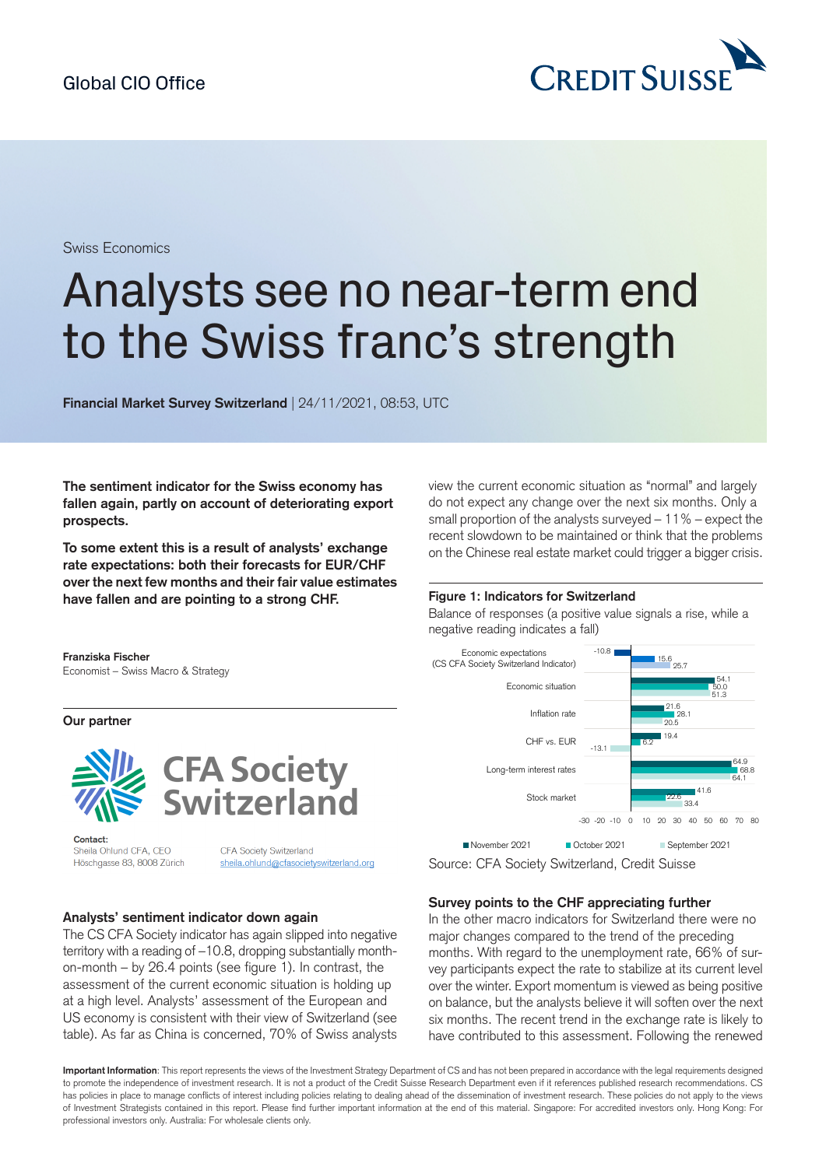

Swiss Economics

# Analysts see no near-term end to the Swiss franc's strength

**Financial Market Survey Switzerland** | 24/11/2021, 08:53, UTC

**The sentiment indicator for the Swiss economy has fallen again, partly on account of deteriorating export prospects.**

**To some extent this is a result of analysts' exchange rate expectations: both their forecasts for EUR/CHF over thenext few months and their fair value estimates have fallen and are pointing to a strong CHF.**

view the current economic situation as "normal" and largely do not expect any change over the next six months. Only a small proportion of the analysts surveyed – 11% – expect the recent slowdown to be maintained or think that the problems on the Chinese real estate market could trigger a bigger crisis.

#### **Figure 1: Indicators for Switzerland**

Balance of responses (a positive value signals a rise, while a negative reading indicates a fall)



**Our partner**



Contact: Sheila Ohlund CFA, CEO Höschgasse 83, 8008 Zürich

CFA Society Switzerland sheila.ohlund@cfasocietyswitzerland.org

#### **Analysts' sentiment indicator down again**

The CS CFA Society indicator has again slipped into negative territory with a reading of –10.8, dropping substantially monthon-month – by 26.4 points (see figure 1). In contrast, the assessment of the current economic situation is holding up at a high level. Analysts' assessment of the European and US economy is consistent with their view of Switzerland (see table). As far as China is concerned, 70% of Swiss analysts



Source: CFA Society Switzerland, Credit Suisse

## **Survey points to the CHF appreciating further**

In the other macro indicators for Switzerland there were no major changes compared to the trend of the preceding months. With regard to the unemployment rate, 66% of survey participants expect the rate to stabilize at its current level over the winter. Export momentum is viewed as being positive on balance, but the analysts believe it will soften over the next six months. The recent trend in the exchange rate is likely to have contributed to this assessment. Following the renewed

**Important Information**: This report represents the views of the Investment Strategy Department of CS and has not been prepared in accordance with the legal requirements designed to promote the independence of investment research. It is not a product of the Credit Suisse Research Department even if it references published research recommendations. CS has policies in place to manage conflicts of interest including policies relating to dealing ahead of the dissemination of investment research. These policies do not apply to the views of Investment Strategists contained in this report. Please find further important information at the end of this material. Singapore: For accredited investors only. Hong Kong: For professional investors only. Australia: For wholesale clients only.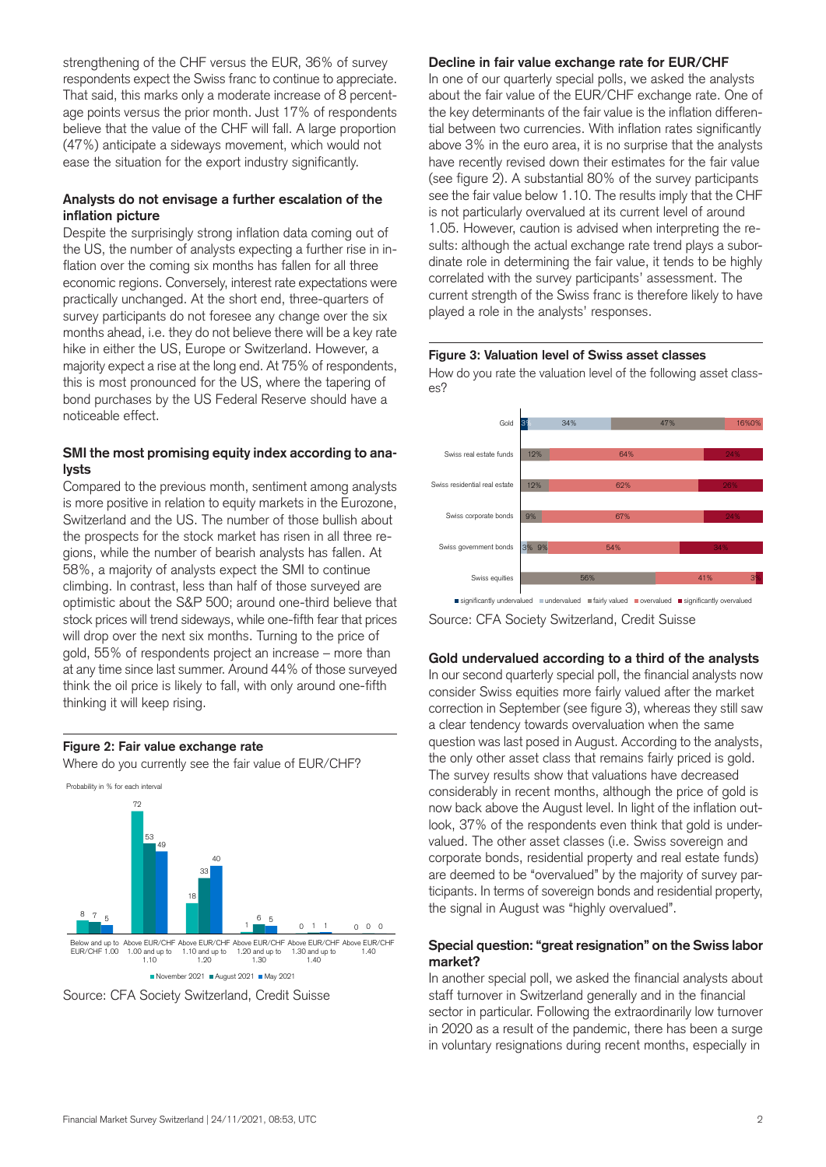strengthening of the CHF versus the EUR, 36% of survey respondents expect the Swiss franc to continue to appreciate. That said, this marks only a moderate increase of 8 percentage points versus the prior month. Just 17% of respondents believe that the value of the CHF will fall. A large proportion (47%) anticipate a sideways movement, which would not ease the situation for the export industry significantly.

## **Analysts do not envisage a further escalation of the inflation picture**

Despite the surprisingly strong inflation data coming out of the US, the number of analysts expecting a further rise in inflation over the coming six months has fallen for all three economic regions. Conversely, interest rate expectations were practically unchanged. At the short end, three-quarters of survey participants do not foresee any change over the six months ahead, i.e. they do not believe there will be a key rate hike in either the US, Europe or Switzerland. However, a majority expect a rise at the long end. At 75% of respondents, this is most pronounced for the US, where the tapering of bond purchases by the US Federal Reserve should have a noticeable effect.

## **SMI the most promising equity index according to analysts**

Compared to the previous month, sentiment among analysts is more positive in relation to equity markets in the Eurozone, Switzerland and the US. The number of those bullish about the prospects for the stock market has risen in all three regions, while the number of bearish analysts has fallen. At 58%, a majority of analysts expect the SMI to continue climbing. In contrast, less than half of those surveyed are optimistic about the S&P 500; around one-third believe that stock prices will trend sideways, while one-fifth fear that prices will drop over the next six months. Turning to the price of gold, 55% of respondents project an increase – more than at any time since last summer. Around 44% of those surveyed think the oil price is likely to fall, with only around one-fifth thinking it will keep rising.

## **Figure 2: Fair value exchange rate**

Where do you currently see the fair value of EUR/CHF?





## **Decline in fair value exchange rate for EUR/CHF**

In one of our quarterly special polls, we asked the analysts about the fair value of the EUR/CHF exchange rate. One of the key determinants of the fair value is the inflation differential between two currencies. With inflation rates significantly above 3% in the euro area, it is no surprise that the analysts have recently revised down their estimates for the fair value (see figure 2). A substantial 80% of the survey participants see the fair value below 1.10. The results imply that the CHF is not particularly overvalued at its current level of around 1.05. However, caution is advised when interpreting the results: although the actual exchange rate trend plays a subordinate role in determining the fair value, it tends to be highly correlated with the survey participants' assessment. The current strength of the Swiss franc is therefore likely to have played a role in the analysts' responses.





significantly undervalued undervalued unfairly valued vervalued unsignificantly overvalued

Source: CFA Society Switzerland, Credit Suisse

## **Gold undervalued according to a third of the analysts**

In our second quarterly special poll, the financial analysts now consider Swiss equities more fairly valued after the market correction in September (see figure 3), whereas they still saw a clear tendency towards overvaluation when the same question was last posed in August. According to the analysts, the only other asset class that remains fairly priced is gold. The survey results show that valuations have decreased considerably in recent months, although the price of gold is now back above the August level. In light of the inflation outlook, 37% of the respondents even think that gold is undervalued. The other asset classes (i.e. Swiss sovereign and corporate bonds, residential property and real estate funds) are deemed to be "overvalued" by the majority of survey participants. In terms of sovereign bonds and residential property, the signal in August was "highly overvalued".

## **Special question: "great resignation" onthe Swiss labor market?**

In another special poll, we asked the financial analysts about staff turnover in Switzerland generally and in the financial sector in particular. Following the extraordinarily low turnover in 2020 as a result of the pandemic, there has been a surge in voluntary resignations during recent months, especially in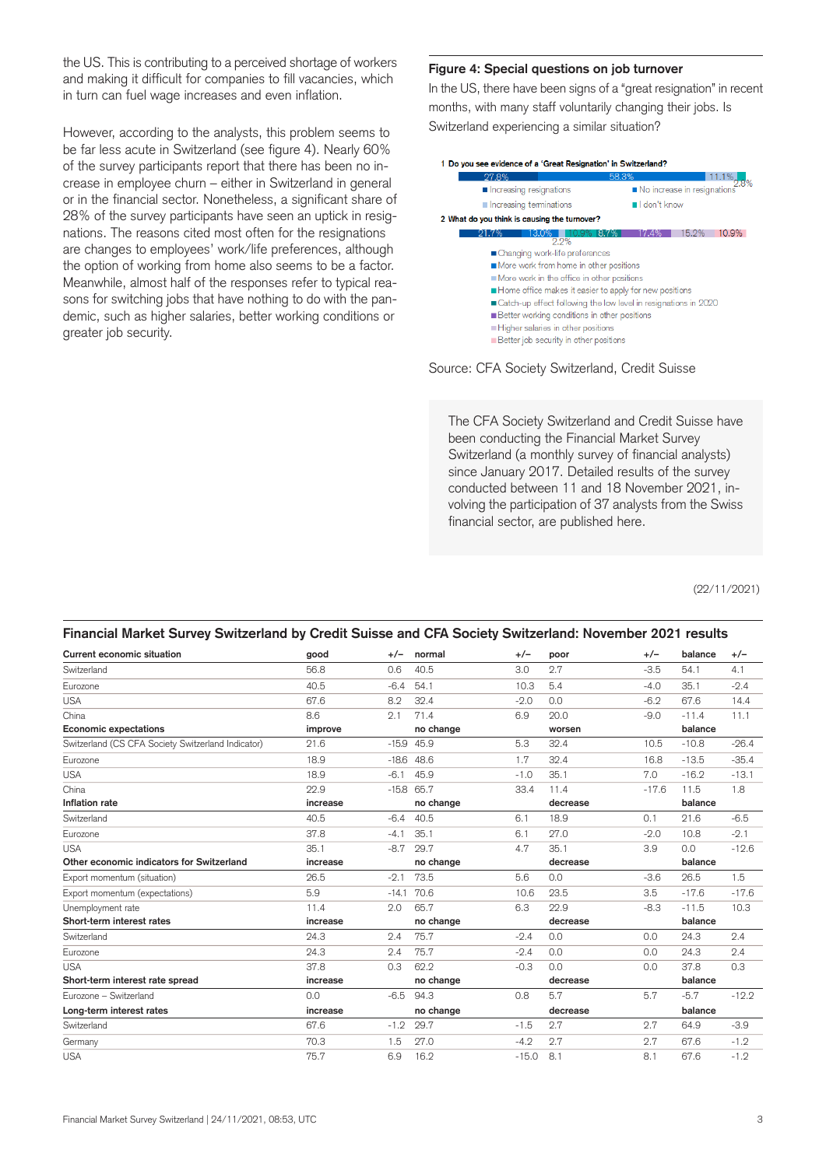the US. This is contributing to a perceived shortage of workers and making it difficult for companies to fill vacancies, which in turn can fuel wage increases and even inflation.

However, according to the analysts, this problem seems to be far less acute in Switzerland (see figure 4). Nearly 60% of the survey participants report that there has been no increase in employee churn – either in Switzerland in general or in the financial sector. Nonetheless, a significant share of 28% of the survey participants have seen an uptick in resignations. The reasons cited most often for the resignations are changes to employees' work/life preferences, although the option of working from home also seems to be a factor. Meanwhile, almost half of the responses refer to typical reasons for switching jobs that have nothing to do with the pandemic, such as higher salaries, better working conditions or greater job security.

#### **Figure 4: Special questions on job turnover**

In the US, there have been signs of a "great resignation" in recent months, with many staff voluntarily changing their jobs. Is Switzerland experiencing a similar situation?



Source: CFA Society Switzerland, Credit Suisse

The CFA Society Switzerland and Credit Suisse have been conducting the Financial Market Survey Switzerland (a monthly survey of financial analysts) since January 2017. Detailed results of the survey conducted between 11 and 18 November 2021, involving the participation of 37 analysts from the Swiss financial sector, are published here.

(22/11/2021)

| Financial Market Survey Switzerland by Credit Suisse and CFA Society Switzerland: November 2021 results |          |         |              |         |          |         |         |         |  |  |
|---------------------------------------------------------------------------------------------------------|----------|---------|--------------|---------|----------|---------|---------|---------|--|--|
| <b>Current economic situation</b>                                                                       | good     | $+/-$   | normal       | $+/-$   | poor     | $+/-$   | balance | $+/-$   |  |  |
| Switzerland                                                                                             | 56.8     | 0.6     | 40.5         | 3.0     | 2.7      | $-3.5$  | 54.1    | 4.1     |  |  |
| Eurozone                                                                                                | 40.5     | $-6.4$  | 54.1         | 10.3    | 5.4      | $-4.0$  | 35.1    | $-2.4$  |  |  |
| <b>USA</b>                                                                                              | 67.6     | 8.2     | 32.4         | $-2.0$  | 0.0      | $-6.2$  | 67.6    | 14.4    |  |  |
| China                                                                                                   | 8.6      | 2.1     | 71.4         | 6.9     | 20.0     | $-9.0$  | $-11.4$ | 11.1    |  |  |
| <b>Economic expectations</b>                                                                            | improve  |         | no change    |         | worsen   |         | balance |         |  |  |
| Switzerland (CS CFA Society Switzerland Indicator)                                                      | 21.6     |         | $-15.9$ 45.9 | 5.3     | 32.4     | 10.5    | $-10.8$ | $-26.4$ |  |  |
| Eurozone                                                                                                | 18.9     | $-18.6$ | 48.6         | 1.7     | 32.4     | 16.8    | $-13.5$ | $-35.4$ |  |  |
| <b>USA</b>                                                                                              | 18.9     | $-6.1$  | 45.9         | $-1.0$  | 35.1     | 7.0     | $-16.2$ | $-13.1$ |  |  |
| China                                                                                                   | 22.9     |         | $-15.8$ 65.7 | 33.4    | 11.4     | $-17.6$ | 11.5    | 1.8     |  |  |
| Inflation rate                                                                                          | increase |         | no change    |         | decrease |         | balance |         |  |  |
| Switzerland                                                                                             | 40.5     | $-6.4$  | 40.5         | 6.1     | 18.9     | 0.1     | 21.6    | $-6.5$  |  |  |
| Eurozone                                                                                                | 37.8     | $-4.1$  | 35.1         | 6.1     | 27.0     | $-2.0$  | 10.8    | $-2.1$  |  |  |
| <b>USA</b>                                                                                              | 35.1     | $-8.7$  | 29.7         | 4.7     | 35.1     | 3.9     | 0.0     | $-12.6$ |  |  |
| Other economic indicators for Switzerland                                                               | increase |         | no change    |         | decrease |         | balance |         |  |  |
| Export momentum (situation)                                                                             | 26.5     | $-2.1$  | 73.5         | 5.6     | 0.0      | $-3.6$  | 26.5    | 1.5     |  |  |
| Export momentum (expectations)                                                                          | 5.9      | $-14.1$ | 70.6         | 10.6    | 23.5     | 3.5     | $-17.6$ | $-17.6$ |  |  |
| Unemployment rate                                                                                       | 11.4     | 2.0     | 65.7         | 6.3     | 22.9     | $-8.3$  | $-11.5$ | 10.3    |  |  |
| Short-term interest rates                                                                               | increase |         | no change    |         | decrease |         | balance |         |  |  |
| Switzerland                                                                                             | 24.3     | 2.4     | 75.7         | $-2.4$  | 0.0      | 0.0     | 24.3    | 2.4     |  |  |
| Eurozone                                                                                                | 24.3     | 2.4     | 75.7         | $-2.4$  | 0.0      | 0.0     | 24.3    | 2.4     |  |  |
| <b>USA</b>                                                                                              | 37.8     | 0.3     | 62.2         | $-0.3$  | 0.0      | 0.0     | 37.8    | 0.3     |  |  |
| Short-term interest rate spread                                                                         | increase |         | no change    |         | decrease |         | balance |         |  |  |
| Eurozone - Switzerland                                                                                  | 0.0      | $-6.5$  | 94.3         | 0.8     | 5.7      | 5.7     | $-5.7$  | $-12.2$ |  |  |
| Long-term interest rates                                                                                | increase |         | no change    |         | decrease |         | balance |         |  |  |
| Switzerland                                                                                             | 67.6     | $-1.2$  | 29.7         | $-1.5$  | 2.7      | 2.7     | 64.9    | $-3.9$  |  |  |
| Germany                                                                                                 | 70.3     | 1.5     | 27.0         | $-4.2$  | 2.7      | 2.7     | 67.6    | $-1.2$  |  |  |
| <b>USA</b>                                                                                              | 75.7     | 6.9     | 16.2         | $-15.0$ | 8.1      | 8.1     | 67.6    | $-1.2$  |  |  |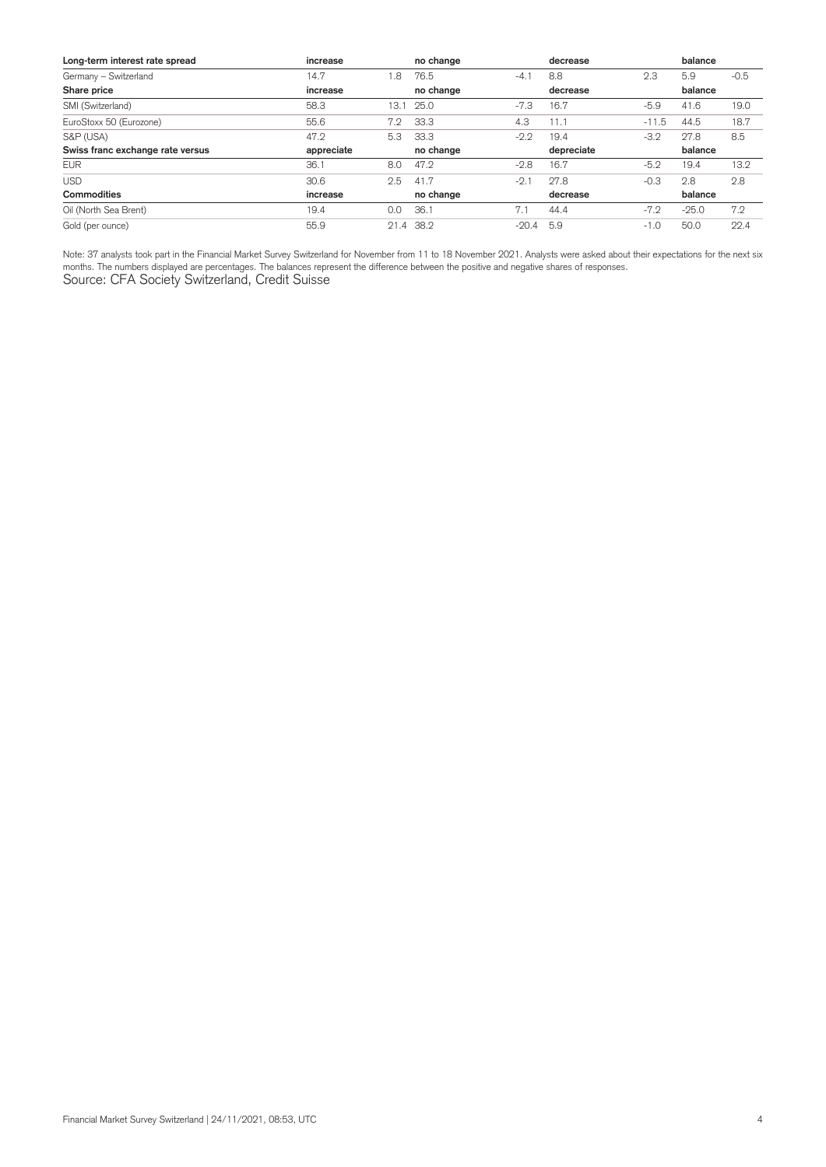| Long-term interest rate spread   | increase   |      | no change |         | decrease   |             | balance |        |
|----------------------------------|------------|------|-----------|---------|------------|-------------|---------|--------|
| Germany - Switzerland            | 14.7       | 1.8  | 76.5      | $-4.1$  | 8.8        | 2.3         | 5.9     | $-0.5$ |
| Share price                      | increase   |      | no change |         | decrease   |             | balance |        |
| SMI (Switzerland)                | 58.3       | 13.1 | 25.0      | $-7.3$  | 16.7       | $-5.9$      | 41.6    | 19.0   |
| EuroStoxx 50 (Eurozone)          | 55.6       | 7.2  | 33.3      | 4.3     | 11.1       | .5<br>$-11$ | 44.5    | 18.7   |
| S&P (USA)                        | 47.2       | 5.3  | 33.3      | $-2.2$  | 19.4       | $-3.2$      | 27.8    | 8.5    |
| Swiss franc exchange rate versus | appreciate |      | no change |         | depreciate |             | balance |        |
| <b>EUR</b>                       | 36.1       | 8.0  | 47.2      | $-2.8$  | 16.7       | $-5.2$      | 19.4    | 13.2   |
| <b>USD</b>                       | 30.6       | 2.5  | 41.7      | $-2.1$  | 27.8       | $-0.3$      | 2.8     | 2.8    |
| Commodities                      | increase   |      | no change |         | decrease   |             | balance |        |
| Oil (North Sea Brent)            | 19.4       | 0.0  | 36.1      | 7.1     | 44.4       | $-7.2$      | $-25.0$ | 7.2    |
| Gold (per ounce)                 | 55.9       | 21.4 | 38.2      | $-20.4$ | 5.9        | $-1.0$      | 50.0    | 22.4   |

Note: 37 analysts took part in the Financial Market Survey Switzerland for November from 11 to 18 November 2021. Analysts were asked about their expectations for the next six months. The numbers displayed are percentages. The balances represent the difference between the positive and negative shares of responses. Source: CFA Society Switzerland, Credit Suisse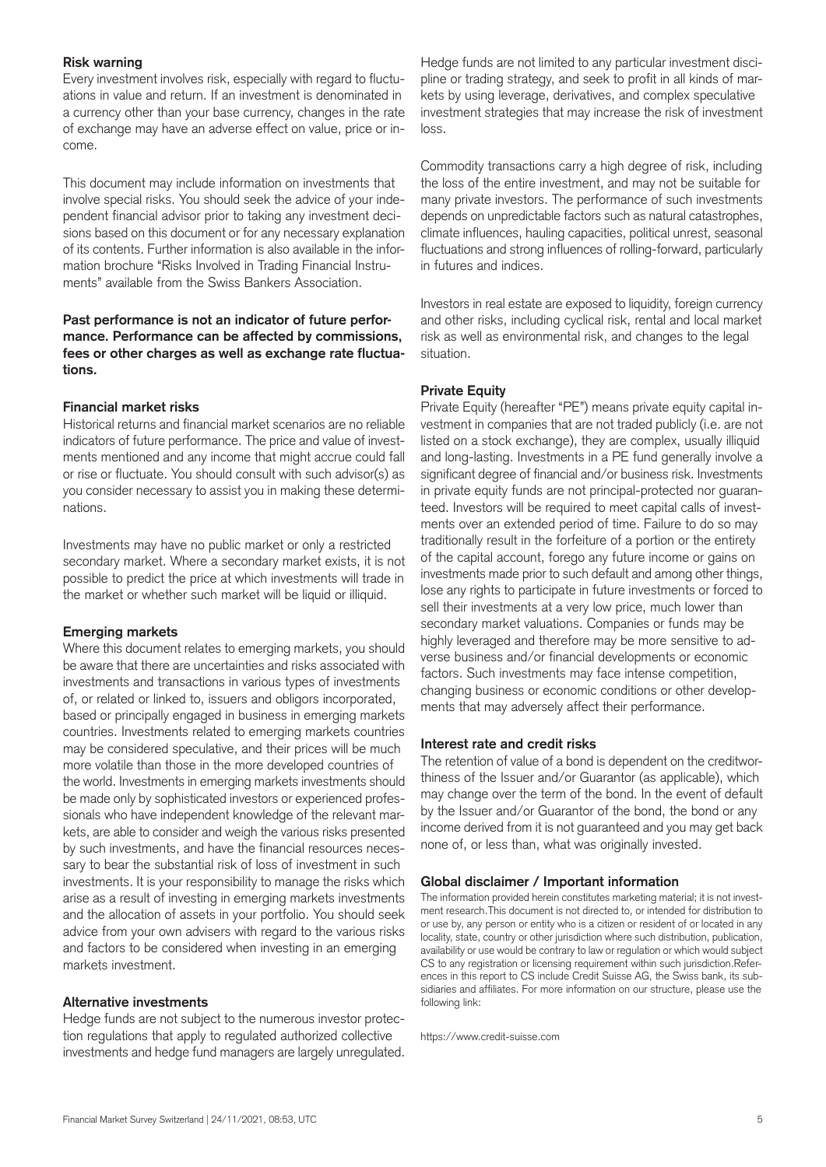## **Risk warning**

Every investment involves risk, especially with regard to fluctuations in value and return. If an investment is denominated in a currency other than your base currency, changes in the rate of exchange may have an adverse effect on value, price or income.

This document may include information on investments that involve special risks. You should seek the advice of your independent financial advisor prior to taking any investment decisions based on this document or for any necessary explanation of its contents. Further information is also available in the information brochure "Risks Involved in Trading Financial Instruments" available from the Swiss Bankers Association.

## **Past performance is not an indicator of future performance. Performance can be affected by commissions, fees or other charges as well as exchange rate fluctuations.**

## **Financial market risks**

Historical returns and financial market scenarios are no reliable indicators of future performance. The price and value of investments mentioned and any income that might accrue could fall or rise or fluctuate. You should consult with such advisor(s) as you consider necessary to assist you in making these determinations.

Investments may have no public market or only a restricted secondary market. Where a secondary market exists, it is not possible to predict the price at which investments will trade in the market or whether such market will be liquid or illiquid.

## **Emerging markets**

Where this document relates to emerging markets, you should be aware that there are uncertainties and risks associated with investments and transactions in various types of investments of, or related or linked to, issuers and obligors incorporated, based or principally engaged in business in emerging markets countries. Investments related to emerging markets countries may be considered speculative, and their prices will be much more volatile than those in the more developed countries of the world. Investments in emerging markets investments should be made only by sophisticated investors or experienced professionals who have independent knowledge of the relevant markets, are able to consider and weigh the various risks presented by such investments, and have the financial resources necessary to bear the substantial risk of loss of investment in such investments. It is your responsibility to manage the risks which arise as a result of investing in emerging markets investments and the allocation of assets in your portfolio. You should seek advice from your own advisers with regard to the various risks and factors to be considered when investing in an emerging markets investment.

## **Alternative investments**

Hedge funds are not subject to the numerous investor protection regulations that apply to regulated authorized collective investments and hedge fund managers are largely unregulated.

Hedge funds are not limited to any particular investment discipline or trading strategy, and seek to profit in all kinds of markets by using leverage, derivatives, and complex speculative investment strategies that may increase the risk of investment loss.

Commodity transactions carry a high degree of risk, including the loss of the entire investment, and may not be suitable for many private investors. The performance of such investments depends on unpredictable factors such as natural catastrophes, climate influences, hauling capacities, political unrest, seasonal fluctuations and strong influences of rolling-forward, particularly in futures and indices.

Investors in real estate are exposed to liquidity, foreign currency and other risks, including cyclical risk, rental and local market risk as well as environmental risk, and changes to the legal situation.

## **Private Equity**

Private Equity (hereafter "PE") means private equity capital investment in companies that are not traded publicly (i.e. are not listed on a stock exchange), they are complex, usually illiquid and long-lasting. Investments in a PE fund generally involve a significant degree of financial and/or business risk. Investments in private equity funds are not principal-protected nor guaranteed. Investors will be required to meet capital calls of investments over an extended period of time. Failure to do so may traditionally result in the forfeiture of a portion or the entirety of the capital account, forego any future income or gains on investments made prior to such default and among other things, lose any rights to participate in future investments or forced to sell their investments at a very low price, much lower than secondary market valuations. Companies or funds may be highly leveraged and therefore may be more sensitive to adverse business and/or financial developments or economic factors. Such investments may face intense competition, changing business or economic conditions or other developments that may adversely affect their performance.

## **Interest rate and credit risks**

The retention of value of a bond is dependent on the creditworthiness of the Issuer and/or Guarantor (as applicable), which may change over the term of the bond. In the event of default by the Issuer and/or Guarantor of the bond, the bond or any income derived from it is not guaranteed and you may get back none of, or less than, what was originally invested.

#### **Global disclaimer / Important information**

The information provided herein constitutes marketing material; it is not investment research.This document is not directed to, or intended for distribution to or use by, any person or entity who is a citizen or resident of or located in any locality, state, country or other jurisdiction where such distribution, publication, availability or use would be contrary to law or regulation or which would subject CS to any registration or licensing requirement within such jurisdiction.References in this report to CS include Credit Suisse AG, the Swiss bank, its subsidiaries and affiliates. For more information on our structure, please use the following link:

https://www.credit-suisse.com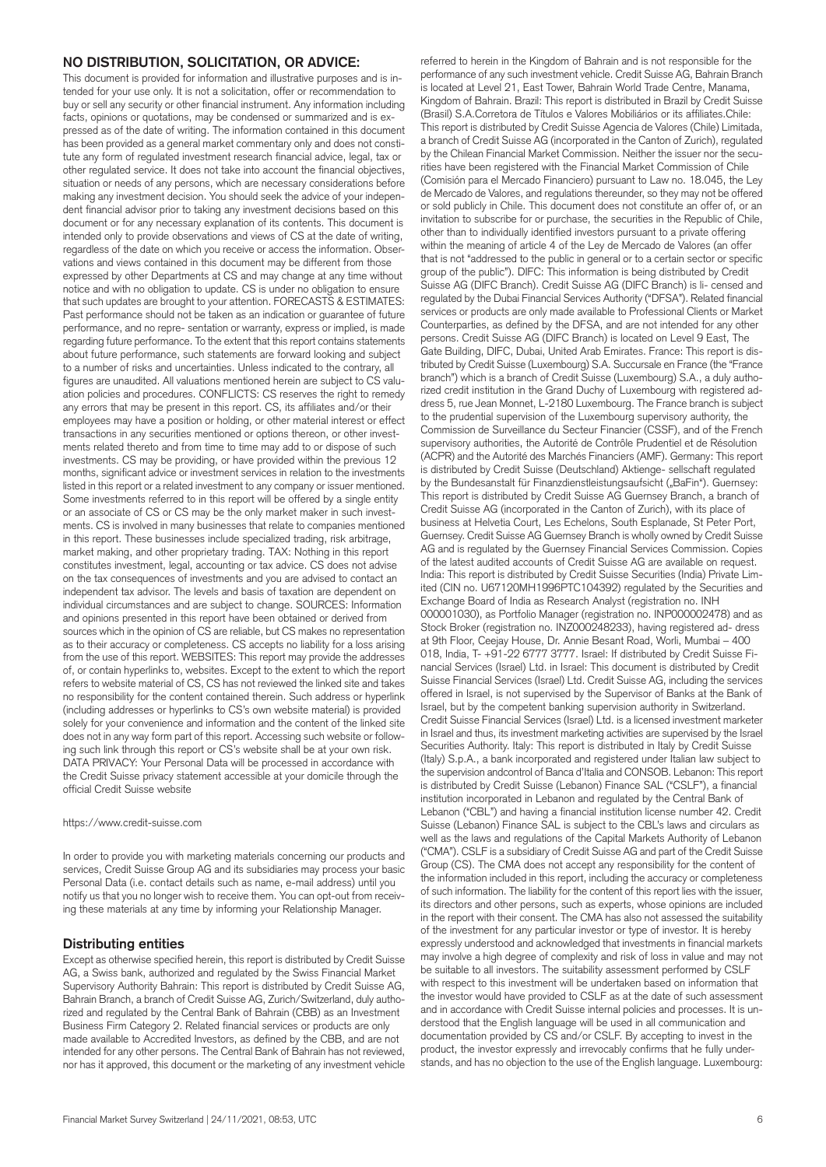## **NO DISTRIBUTION, SOLICITATION, OR ADVICE:**

This document is provided for information and illustrative purposes and is intended for your use only. It is not a solicitation, offer or recommendation to buy or sell any security or other financial instrument. Any information including facts, opinions or quotations, may be condensed or summarized and is expressed as of the date of writing. The information contained in this document has been provided as a general market commentary only and does not constitute any form of regulated investment research financial advice, legal, tax or other regulated service. It does not take into account the financial objectives, situation or needs of any persons, which are necessary considerations before making any investment decision. You should seek the advice of your independent financial advisor prior to taking any investment decisions based on this document or for any necessary explanation of its contents. This document is intended only to provide observations and views of CS at the date of writing, regardless of the date on which you receive or access the information. Observations and views contained in this document may be different from those expressed by other Departments at CS and may change at any time without notice and with no obligation to update. CS is under no obligation to ensure that such updates are brought to your attention. FORECASTS & ESTIMATES: Past performance should not be taken as an indication or guarantee of future performance, and no repre- sentation or warranty, express or implied, is made regarding future performance. To the extent that this report contains statements about future performance, such statements are forward looking and subject to a number of risks and uncertainties. Unless indicated to the contrary, all figures are unaudited. All valuations mentioned herein are subject to CS valuation policies and procedures. CONFLICTS: CS reserves the right to remedy any errors that may be present in this report. CS, its affiliates and/or their employees may have a position or holding, or other material interest or effect transactions in any securities mentioned or options thereon, or other investments related thereto and from time to time may add to or dispose of such investments. CS may be providing, or have provided within the previous 12 months, significant advice or investment services in relation to the investments listed in this report or a related investment to any company or issuer mentioned. Some investments referred to in this report will be offered by a single entity or an associate of CS or CS may be the only market maker in such investments. CS is involved in many businesses that relate to companies mentioned in this report. These businesses include specialized trading, risk arbitrage, market making, and other proprietary trading. TAX: Nothing in this report constitutes investment, legal, accounting or tax advice. CS does not advise on the tax consequences of investments and you are advised to contact an independent tax advisor. The levels and basis of taxation are dependent on individual circumstances and are subject to change. SOURCES: Information and opinions presented in this report have been obtained or derived from sources which in the opinion of CS are reliable, but CS makes no representation as to their accuracy or completeness. CS accepts no liability for a loss arising from the use of this report. WEBSITES: This report may provide the addresses of, or contain hyperlinks to, websites. Except to the extent to which the report refers to website material of CS, CS has not reviewed the linked site and takes no responsibility for the content contained therein. Such address or hyperlink (including addresses or hyperlinks to CS's own website material) is provided solely for your convenience and information and the content of the linked site does not in any way form part of this report. Accessing such website or following such link through this report or CS's website shall be at your own risk. DATA PRIVACY: Your Personal Data will be processed in accordance with the Credit Suisse privacy statement accessible at your domicile through the official Credit Suisse website

#### https://www.credit-suisse.com

In order to provide you with marketing materials concerning our products and services, Credit Suisse Group AG and its subsidiaries may process your basic Personal Data (i.e. contact details such as name, e-mail address) until you notify us that you no longer wish to receive them. You can opt-out from receiving these materials at any time by informing your Relationship Manager.

#### **Distributing entities**

Except as otherwise specified herein, this report is distributed by Credit Suisse AG, a Swiss bank, authorized and regulated by the Swiss Financial Market Supervisory Authority Bahrain: This report is distributed by Credit Suisse AG, Bahrain Branch, a branch of Credit Suisse AG, Zurich/Switzerland, duly authorized and regulated by the Central Bank of Bahrain (CBB) as an Investment Business Firm Category 2. Related financial services or products are only made available to Accredited Investors, as defined by the CBB, and are not intended for any other persons. The Central Bank of Bahrain has not reviewed, nor has it approved, this document or the marketing of any investment vehicle

Kingdom of Bahrain. Brazil: This report is distributed in Brazil by Credit Suisse (Brasil) S.A.Corretora de Títulos e Valores Mobiliários or its affiliates.Chile: This report is distributed by Credit Suisse Agencia de Valores (Chile) Limitada, a branch of Credit Suisse AG (incorporated in the Canton of Zurich), regulated by the Chilean Financial Market Commission. Neither the issuer nor the securities have been registered with the Financial Market Commission of Chile (Comisión para el Mercado Financiero) pursuant to Law no. 18.045, the Ley de Mercado de Valores, and regulations thereunder, so they may not be offered or sold publicly in Chile. This document does not constitute an offer of, or an invitation to subscribe for or purchase, the securities in the Republic of Chile, other than to individually identified investors pursuant to a private offering within the meaning of article 4 of the Ley de Mercado de Valores (an offer that is not "addressed to the public in general or to a certain sector or specific group of the public"). DIFC: This information is being distributed by Credit Suisse AG (DIFC Branch). Credit Suisse AG (DIFC Branch) is li- censed and regulated by the Dubai Financial Services Authority ("DFSA"). Related financial services or products are only made available to Professional Clients or Market Counterparties, as defined by the DFSA, and are not intended for any other persons. Credit Suisse AG (DIFC Branch) is located on Level 9 East, The Gate Building, DIFC, Dubai, United Arab Emirates. France: This report is distributed by Credit Suisse (Luxembourg) S.A. Succursale en France (the "France branch") which is a branch of Credit Suisse (Luxembourg) S.A., a duly authorized credit institution in the Grand Duchy of Luxembourg with registered address 5, rue Jean Monnet, L-2180 Luxembourg. The France branch is subject to the prudential supervision of the Luxembourg supervisory authority, the Commission de Surveillance du Secteur Financier (CSSF), and of the French supervisory authorities, the Autorité de Contrôle Prudentiel et de Résolution (ACPR) and the Autorité des Marchés Financiers (AMF). Germany: This report is distributed by Credit Suisse (Deutschland) Aktienge- sellschaft regulated by the Bundesanstalt für Finanzdienstleistungsaufsicht ("BaFin"). Guernsey: This report is distributed by Credit Suisse AG Guernsey Branch, a branch of Credit Suisse AG (incorporated in the Canton of Zurich), with its place of business at Helvetia Court, Les Echelons, South Esplanade, St Peter Port, Guernsey. Credit Suisse AG Guernsey Branch is wholly owned by Credit Suisse AG and is regulated by the Guernsey Financial Services Commission. Copies of the latest audited accounts of Credit Suisse AG are available on request. India: This report is distributed by Credit Suisse Securities (India) Private Limited (CIN no. U67120MH1996PTC104392) regulated by the Securities and Exchange Board of India as Research Analyst (registration no. INH 000001030), as Portfolio Manager (registration no. INP000002478) and as Stock Broker (registration no. INZ000248233), having registered ad- dress at 9th Floor, Ceejay House, Dr. Annie Besant Road, Worli, Mumbai – 400 018, India, T- +91-22 6777 3777. Israel: If distributed by Credit Suisse Financial Services (Israel) Ltd. in Israel: This document is distributed by Credit Suisse Financial Services (Israel) Ltd. Credit Suisse AG, including the services offered in Israel, is not supervised by the Supervisor of Banks at the Bank of Israel, but by the competent banking supervision authority in Switzerland. Credit Suisse Financial Services (Israel) Ltd. is a licensed investment marketer in Israel and thus, its investment marketing activities are supervised by the Israel Securities Authority. Italy: This report is distributed in Italy by Credit Suisse (Italy) S.p.A., a bank incorporated and registered under Italian law subject to the supervision andcontrol of Banca d'Italia and CONSOB. Lebanon: This report is distributed by Credit Suisse (Lebanon) Finance SAL ("CSLF"), a financial institution incorporated in Lebanon and regulated by the Central Bank of Lebanon ("CBL") and having a financial institution license number 42. Credit Suisse (Lebanon) Finance SAL is subject to the CBL's laws and circulars as well as the laws and regulations of the Capital Markets Authority of Lebanon ("CMA"). CSLF is a subsidiary of Credit Suisse AG and part of the Credit Suisse Group (CS). The CMA does not accept any responsibility for the content of the information included in this report, including the accuracy or completeness of such information. The liability for the content of this report lies with the issuer, its directors and other persons, such as experts, whose opinions are included in the report with their consent. The CMA has also not assessed the suitability of the investment for any particular investor or type of investor. It is hereby expressly understood and acknowledged that investments in financial markets may involve a high degree of complexity and risk of loss in value and may not be suitable to all investors. The suitability assessment performed by CSLF with respect to this investment will be undertaken based on information that

referred to herein in the Kingdom of Bahrain and is not responsible for the performance of any such investment vehicle. Credit Suisse AG, Bahrain Branch is located at Level 21, East Tower, Bahrain World Trade Centre, Manama,

the investor would have provided to CSLF as at the date of such assessment and in accordance with Credit Suisse internal policies and processes. It is understood that the English language will be used in all communication and documentation provided by CS and/or CSLF. By accepting to invest in the product, the investor expressly and irrevocably confirms that he fully understands, and has no objection to the use of the English language. Luxembourg: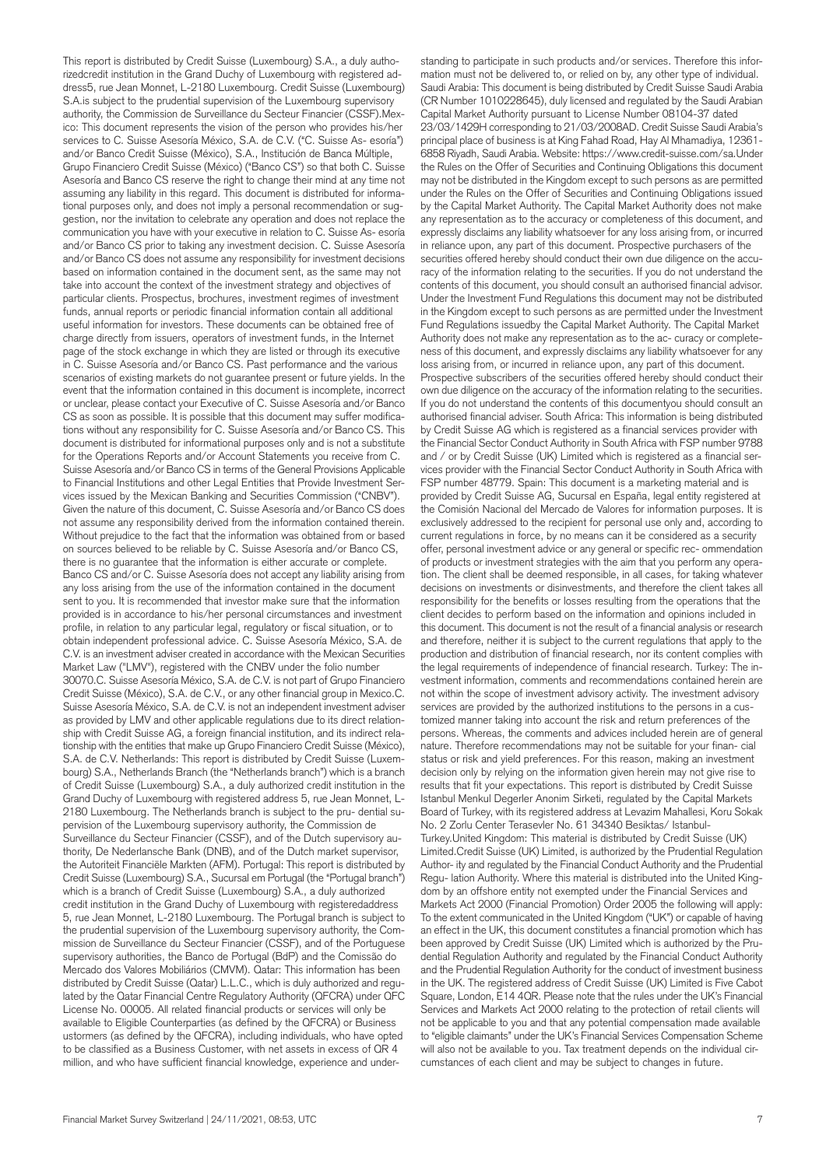This report is distributed by Credit Suisse (Luxembourg) S.A., a duly authorizedcredit institution in the Grand Duchy of Luxembourg with registered address5, rue Jean Monnet, L-2180 Luxembourg. Credit Suisse (Luxembourg) S.A. is subject to the prudential supervision of the Luxembourg supervisory authority, the Commission de Surveillance du Secteur Financier (CSSF).Mexico: This document represents the vision of the person who provides his/her services to C. Suisse Asesoría México, S.A. de C.V. ("C. Suisse As- esoría") and/or Banco Credit Suisse (México), S.A., Institución de Banca Múltiple, Grupo Financiero Credit Suisse (México) ("Banco CS") so that both C. Suisse Asesoría and Banco CS reserve the right to change their mind at any time not assuming any liability in this regard. This document is distributed for informational purposes only, and does not imply a personal recommendation or suggestion, nor the invitation to celebrate any operation and does not replace the communication you have with your executive in relation to C. Suisse As- esoría and/or Banco CS prior to taking any investment decision. C. Suisse Asesoría and/or Banco CS does not assume any responsibility for investment decisions based on information contained in the document sent, as the same may not take into account the context of the investment strategy and objectives of particular clients. Prospectus, brochures, investment regimes of investment funds, annual reports or periodic financial information contain all additional useful information for investors. These documents can be obtained free of charge directly from issuers, operators of investment funds, in the Internet page of the stock exchange in which they are listed or through its executive in C. Suisse Asesoría and/or Banco CS. Past performance and the various scenarios of existing markets do not guarantee present or future yields. In the event that the information contained in this document is incomplete, incorrect or unclear, please contact your Executive of C. Suisse Asesoría and/or Banco CS as soon as possible. It is possible that this document may suffer modifications without any responsibility for C. Suisse Asesoría and/or Banco CS. This document is distributed for informational purposes only and is not a substitute for the Operations Reports and/or Account Statements you receive from C. Suisse Asesoría and/or Banco CS in terms of the General Provisions Applicable to Financial Institutions and other Legal Entities that Provide Investment Services issued by the Mexican Banking and Securities Commission ("CNBV"). Given the nature of this document, C. Suisse Asesoría and/or Banco CS does not assume any responsibility derived from the information contained therein. Without prejudice to the fact that the information was obtained from or based on sources believed to be reliable by C. Suisse Asesoría and/or Banco CS, there is no guarantee that the information is either accurate or complete. Banco CS and/or C. Suisse Asesoría does not accept any liability arising from any loss arising from the use of the information contained in the document sent to you. It is recommended that investor make sure that the information provided is in accordance to his/her personal circumstances and investment profile, in relation to any particular legal, regulatory or fiscal situation, or to obtain independent professional advice. C. Suisse Asesoría México, S.A. de C.V. is an investment adviser created in accordance with the Mexican Securities Market Law ("LMV"), registered with the CNBV under the folio number 30070.C. Suisse Asesoría México, S.A. de C.V. is not part of Grupo Financiero Credit Suisse (México), S.A. de C.V., or any other financial group in Mexico.C. Suisse Asesoría México, S.A. de C.V. is not an independent investment adviser as provided by LMV and other applicable regulations due to its direct relationship with Credit Suisse AG, a foreign financial institution, and its indirect relationship with the entities that make up Grupo Financiero Credit Suisse (México), S.A. de C.V. Netherlands: This report is distributed by Credit Suisse (Luxembourg) S.A., Netherlands Branch (the "Netherlands branch") which is a branch of Credit Suisse (Luxembourg) S.A., a duly authorized credit institution in the Grand Duchy of Luxembourg with registered address 5, rue Jean Monnet, L-2180 Luxembourg. The Netherlands branch is subject to the pru- dential supervision of the Luxembourg supervisory authority, the Commission de Surveillance du Secteur Financier (CSSF), and of the Dutch supervisory authority, De Nederlansche Bank (DNB), and of the Dutch market supervisor, the Autoriteit Financiële Markten (AFM). Portugal: This report is distributed by Credit Suisse (Luxembourg) S.A., Sucursal em Portugal (the "Portugal branch") which is a branch of Credit Suisse (Luxembourg) S.A., a duly authorized credit institution in the Grand Duchy of Luxembourg with registeredaddress 5, rue Jean Monnet, L-2180 Luxembourg. The Portugal branch is subject to the prudential supervision of the Luxembourg supervisory authority, the Commission de Surveillance du Secteur Financier (CSSF), and of the Portuguese supervisory authorities, the Banco de Portugal (BdP) and the Comissão do Mercado dos Valores Mobiliários (CMVM). Qatar: This information has been distributed by Credit Suisse (Qatar) L.L.C., which is duly authorized and regulated by the Qatar Financial Centre Regulatory Authority (QFCRA) under QFC License No. 00005. All related financial products or services will only be available to Eligible Counterparties (as defined by the QFCRA) or Business ustormers (as defined by the QFCRA), including individuals, who have opted to be classified as a Business Customer, with net assets in excess of QR 4 million, and who have sufficient financial knowledge, experience and under-

standing to participate in such products and/or services. Therefore this information must not be delivered to, or relied on by, any other type of individual. Saudi Arabia: This document is being distributed by Credit Suisse Saudi Arabia (CR Number 1010228645), duly licensed and regulated by the Saudi Arabian Capital Market Authority pursuant to License Number 08104-37 dated 23/03/1429H corresponding to 21/03/2008AD. Credit Suisse Saudi Arabia's principal place of business is at King Fahad Road, Hay Al Mhamadiya, 12361- 6858 Riyadh, Saudi Arabia. Website: https://www.credit-suisse.com/sa.Under the Rules on the Offer of Securities and Continuing Obligations this document may not be distributed in the Kingdom except to such persons as are permitted under the Rules on the Offer of Securities and Continuing Obligations issued by the Capital Market Authority. The Capital Market Authority does not make any representation as to the accuracy or completeness of this document, and expressly disclaims any liability whatsoever for any loss arising from, or incurred in reliance upon, any part of this document. Prospective purchasers of the securities offered hereby should conduct their own due diligence on the accuracy of the information relating to the securities. If you do not understand the contents of this document, you should consult an authorised financial advisor. Under the Investment Fund Regulations this document may not be distributed in the Kingdom except to such persons as are permitted under the Investment Fund Regulations issuedby the Capital Market Authority. The Capital Market Authority does not make any representation as to the ac- curacy or completeness of this document, and expressly disclaims any liability whatsoever for any loss arising from, or incurred in reliance upon, any part of this document. Prospective subscribers of the securities offered hereby should conduct their own due diligence on the accuracy of the information relating to the securities. If you do not understand the contents of this documentyou should consult an authorised financial adviser. South Africa: This information is being distributed by Credit Suisse AG which is registered as a financial services provider with the Financial Sector Conduct Authority in South Africa with FSP number 9788 and / or by Credit Suisse (UK) Limited which is registered as a financial services provider with the Financial Sector Conduct Authority in South Africa with FSP number 48779. Spain: This document is a marketing material and is provided by Credit Suisse AG, Sucursal en España, legal entity registered at the Comisión Nacional del Mercado de Valores for information purposes. It is exclusively addressed to the recipient for personal use only and, according to current regulations in force, by no means can it be considered as a security offer, personal investment advice or any general or specific rec- ommendation of products or investment strategies with the aim that you perform any operation. The client shall be deemed responsible, in all cases, for taking whatever decisions on investments or disinvestments, and therefore the client takes all responsibility for the benefits or losses resulting from the operations that the client decides to perform based on the information and opinions included in this document. This document is not the result of a financial analysis or research and therefore, neither it is subject to the current regulations that apply to the production and distribution of financial research, nor its content complies with the legal requirements of independence of financial research. Turkey: The investment information, comments and recommendations contained herein are not within the scope of investment advisory activity. The investment advisory services are provided by the authorized institutions to the persons in a customized manner taking into account the risk and return preferences of the persons. Whereas, the comments and advices included herein are of general nature. Therefore recommendations may not be suitable for your finan- cial status or risk and yield preferences. For this reason, making an investment decision only by relying on the information given herein may not give rise to results that fit your expectations. This report is distributed by Credit Suisse Istanbul Menkul Degerler Anonim Sirketi, regulated by the Capital Markets Board of Turkey, with its registered address at Levazim Mahallesi, Koru Sokak No. 2 Zorlu Center Terasevler No. 61 34340 Besiktas/ Istanbul-Turkey.United Kingdom: This material is distributed by Credit Suisse (UK) Limited.Credit Suisse (UK) Limited, is authorized by the Prudential Regulation Author- ity and regulated by the Financial Conduct Authority and the Prudential Regu- lation Authority. Where this material is distributed into the United Kingdom by an offshore entity not exempted under the Financial Services and Markets Act 2000 (Financial Promotion) Order 2005 the following will apply: To the extent communicated in the United Kingdom ("UK") or capable of having an effect in the UK, this document constitutes a financial promotion which has been approved by Credit Suisse (UK) Limited which is authorized by the Prudential Regulation Authority and regulated by the Financial Conduct Authority and the Prudential Regulation Authority for the conduct of investment business in the UK. The registered address of Credit Suisse (UK) Limited is Five Cabot Square, London, E14 4QR. Please note that the rules under the UK's Financial Services and Markets Act 2000 relating to the protection of retail clients will not be applicable to you and that any potential compensation made available to "eligible claimants" under the UK's Financial Services Compensation Scheme will also not be available to you. Tax treatment depends on the individual circumstances of each client and may be subject to changes in future.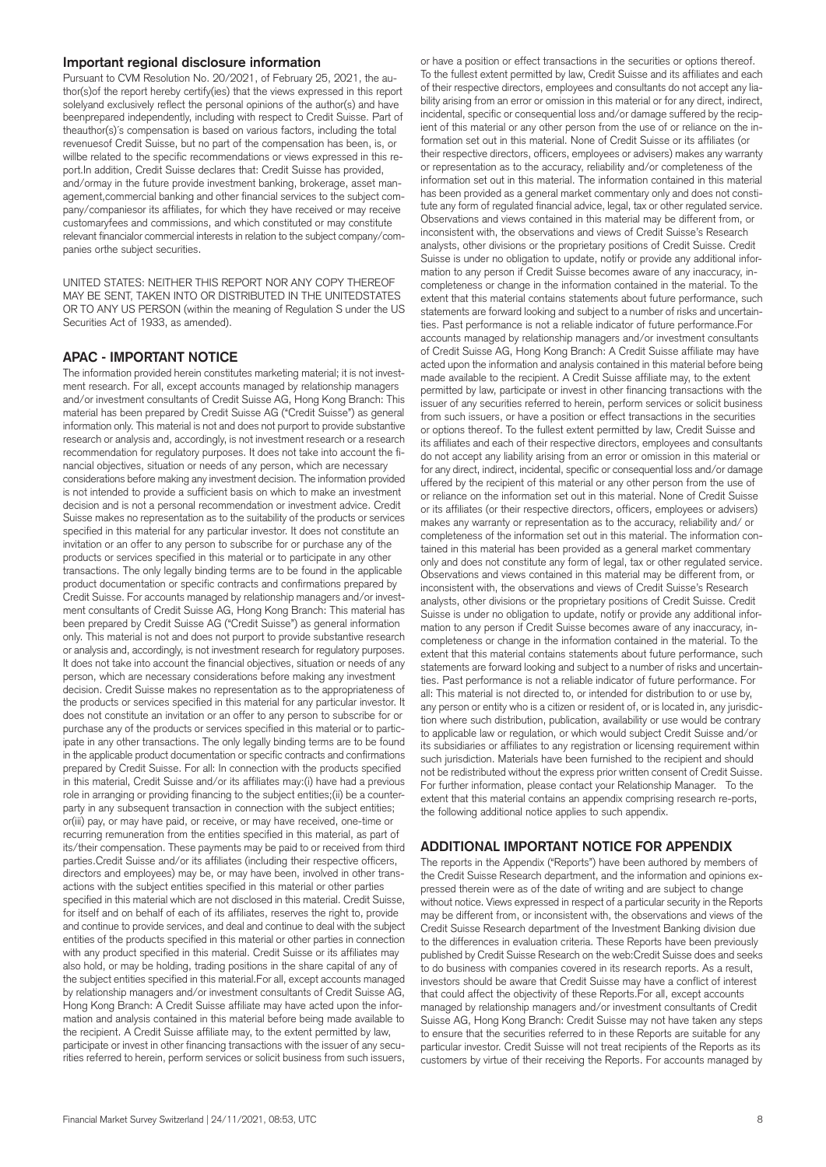#### **Important regional disclosure information**

Pursuant to CVM Resolution No. 20/2021, of February 25, 2021, the author(s)of the report hereby certify(ies) that the views expressed in this report solelyand exclusively reflect the personal opinions of the author(s) and have beenprepared independently, including with respect to Credit Suisse. Part of theauthor(s)´s compensation is based on various factors, including the total revenuesof Credit Suisse, but no part of the compensation has been, is, or willbe related to the specific recommendations or views expressed in this report.In addition, Credit Suisse declares that: Credit Suisse has provided, and/ormay in the future provide investment banking, brokerage, asset management,commercial banking and other financial services to the subject company/companiesor its affiliates, for which they have received or may receive customaryfees and commissions, and which constituted or may constitute relevant financialor commercial interests in relation to the subject company/companies orthe subject securities.

UNITED STATES: NEITHER THIS REPORT NOR ANY COPY THEREOF MAY BE SENT, TAKEN INTO OR DISTRIBUTED IN THE UNITEDSTATES OR TO ANY US PERSON (within the meaning of Regulation S under the US Securities Act of 1933, as amended).

#### **APAC - IMPORTANT NOTICE**

The information provided herein constitutes marketing material; it is not investment research. For all, except accounts managed by relationship managers and/or investment consultants of Credit Suisse AG, Hong Kong Branch: This material has been prepared by Credit Suisse AG ("Credit Suisse") as general information only. This material is not and does not purport to provide substantive research or analysis and, accordingly, is not investment research or a research recommendation for regulatory purposes. It does not take into account the financial objectives, situation or needs of any person, which are necessary considerations before making any investment decision. The information provided is not intended to provide a sufficient basis on which to make an investment decision and is not a personal recommendation or investment advice. Credit Suisse makes no representation as to the suitability of the products or services specified in this material for any particular investor. It does not constitute an invitation or an offer to any person to subscribe for or purchase any of the products or services specified in this material or to participate in any other transactions. The only legally binding terms are to be found in the applicable product documentation or specific contracts and confirmations prepared by Credit Suisse. For accounts managed by relationship managers and/or investment consultants of Credit Suisse AG, Hong Kong Branch: This material has been prepared by Credit Suisse AG ("Credit Suisse") as general information only. This material is not and does not purport to provide substantive research or analysis and, accordingly, is not investment research for regulatory purposes. It does not take into account the financial objectives, situation or needs of any person, which are necessary considerations before making any investment decision. Credit Suisse makes no representation as to the appropriateness of the products or services specified in this material for any particular investor. It does not constitute an invitation or an offer to any person to subscribe for or purchase any of the products or services specified in this material or to participate in any other transactions. The only legally binding terms are to be found in the applicable product documentation or specific contracts and confirmations prepared by Credit Suisse. For all: In connection with the products specified in this material, Credit Suisse and/or its affiliates may:(i) have had a previous role in arranging or providing financing to the subject entities;(ii) be a counterparty in any subsequent transaction in connection with the subject entities; or(iii) pay, or may have paid, or receive, or may have received, one-time or recurring remuneration from the entities specified in this material, as part of its/their compensation. These payments may be paid to or received from third parties.Credit Suisse and/or its affiliates (including their respective officers, directors and employees) may be, or may have been, involved in other transactions with the subject entities specified in this material or other parties specified in this material which are not disclosed in this material. Credit Suisse, for itself and on behalf of each of its affiliates, reserves the right to, provide and continue to provide services, and deal and continue to deal with the subject entities of the products specified in this material or other parties in connection with any product specified in this material. Credit Suisse or its affiliates may also hold, or may be holding, trading positions in the share capital of any of the subject entities specified in this material.For all, except accounts managed by relationship managers and/or investment consultants of Credit Suisse AG, Hong Kong Branch: A Credit Suisse affiliate may have acted upon the information and analysis contained in this material before being made available to the recipient. A Credit Suisse affiliate may, to the extent permitted by law, participate or invest in other financing transactions with the issuer of any securities referred to herein, perform services or solicit business from such issuers,

or have a position or effect transactions in the securities or options thereof. To the fullest extent permitted by law, Credit Suisse and its affiliates and each of their respective directors, employees and consultants do not accept any liability arising from an error or omission in this material or for any direct, indirect, incidental, specific or consequential loss and/or damage suffered by the recipient of this material or any other person from the use of or reliance on the information set out in this material. None of Credit Suisse or its affiliates (or their respective directors, officers, employees or advisers) makes any warranty or representation as to the accuracy, reliability and/or completeness of the information set out in this material. The information contained in this material has been provided as a general market commentary only and does not constitute any form of regulated financial advice, legal, tax or other regulated service. Observations and views contained in this material may be different from, or inconsistent with, the observations and views of Credit Suisse's Research analysts, other divisions or the proprietary positions of Credit Suisse. Credit Suisse is under no obligation to update, notify or provide any additional information to any person if Credit Suisse becomes aware of any inaccuracy, incompleteness or change in the information contained in the material. To the extent that this material contains statements about future performance, such statements are forward looking and subject to a number of risks and uncertainties. Past performance is not a reliable indicator of future performance.For accounts managed by relationship managers and/or investment consultants of Credit Suisse AG, Hong Kong Branch: A Credit Suisse affiliate may have acted upon the information and analysis contained in this material before being made available to the recipient. A Credit Suisse affiliate may, to the extent permitted by law, participate or invest in other financing transactions with the issuer of any securities referred to herein, perform services or solicit business from such issuers, or have a position or effect transactions in the securities or options thereof. To the fullest extent permitted by law, Credit Suisse and its affiliates and each of their respective directors, employees and consultants do not accept any liability arising from an error or omission in this material or for any direct, indirect, incidental, specific or consequential loss and/or damage uffered by the recipient of this material or any other person from the use of or reliance on the information set out in this material. None of Credit Suisse or its affiliates (or their respective directors, officers, employees or advisers) makes any warranty or representation as to the accuracy, reliability and/ or completeness of the information set out in this material. The information contained in this material has been provided as a general market commentary only and does not constitute any form of legal, tax or other regulated service. Observations and views contained in this material may be different from, or inconsistent with, the observations and views of Credit Suisse's Research analysts, other divisions or the proprietary positions of Credit Suisse. Credit Suisse is under no obligation to update, notify or provide any additional information to any person if Credit Suisse becomes aware of any inaccuracy, incompleteness or change in the information contained in the material. To the extent that this material contains statements about future performance, such statements are forward looking and subject to a number of risks and uncertainties. Past performance is not a reliable indicator of future performance. For all: This material is not directed to, or intended for distribution to or use by, any person or entity who is a citizen or resident of, or is located in, any jurisdiction where such distribution, publication, availability or use would be contrary to applicable law or regulation, or which would subject Credit Suisse and/or its subsidiaries or affiliates to any registration or licensing requirement within such jurisdiction. Materials have been furnished to the recipient and should not be redistributed without the express prior written consent of Credit Suisse. For further information, please contact your Relationship Manager. To the extent that this material contains an appendix comprising research re-ports, the following additional notice applies to such appendix.

#### **ADDITIONAL IMPORTANT NOTICE FOR APPENDIX**

The reports in the Appendix ("Reports") have been authored by members of the Credit Suisse Research department, and the information and opinions expressed therein were as of the date of writing and are subject to change without notice. Views expressed in respect of a particular security in the Reports may be different from, or inconsistent with, the observations and views of the Credit Suisse Research department of the Investment Banking division due to the differences in evaluation criteria. These Reports have been previously published by Credit Suisse Research on the web:Credit Suisse does and seeks to do business with companies covered in its research reports. As a result, investors should be aware that Credit Suisse may have a conflict of interest that could affect the objectivity of these Reports.For all, except accounts managed by relationship managers and/or investment consultants of Credit Suisse AG, Hong Kong Branch: Credit Suisse may not have taken any steps to ensure that the securities referred to in these Reports are suitable for any particular investor. Credit Suisse will not treat recipients of the Reports as its customers by virtue of their receiving the Reports. For accounts managed by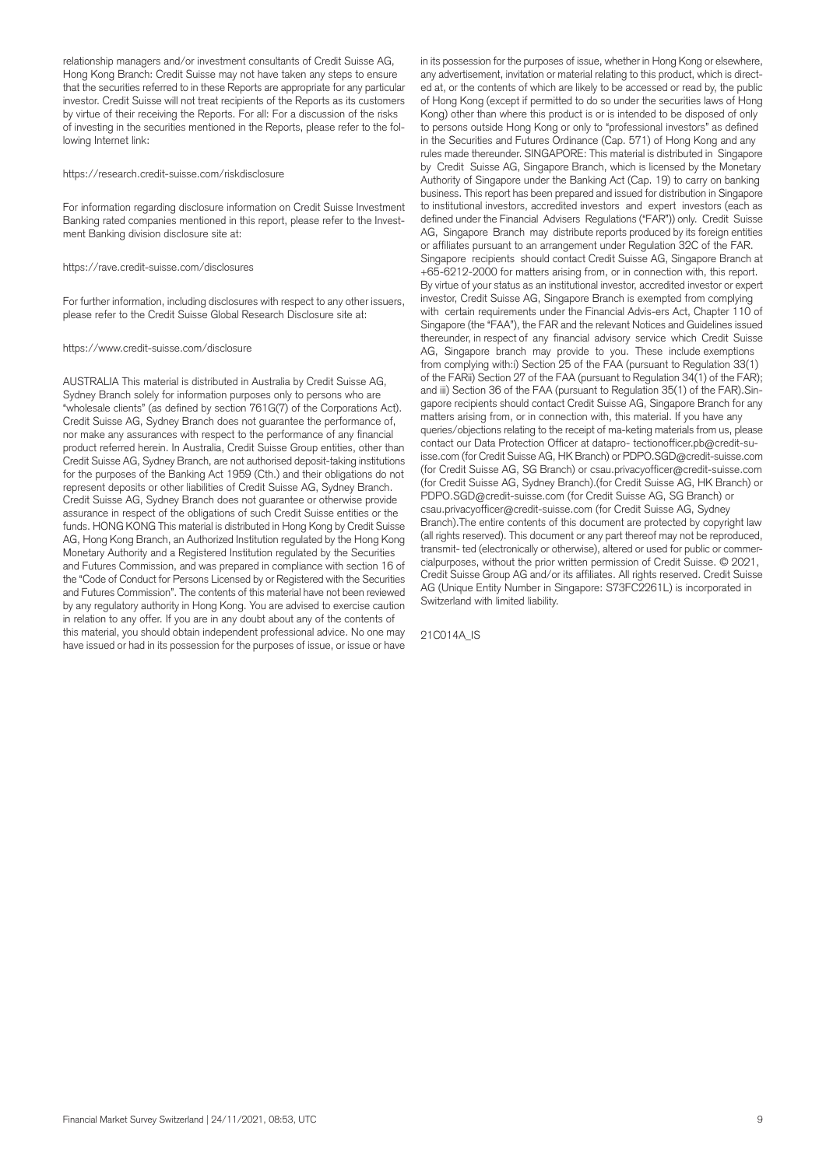relationship managers and/or investment consultants of Credit Suisse AG, Hong Kong Branch: Credit Suisse may not have taken any steps to ensure that the securities referred to in these Reports are appropriate for any particular investor. Credit Suisse will not treat recipients of the Reports as its customers by virtue of their receiving the Reports. For all: For a discussion of the risks of investing in the securities mentioned in the Reports, please refer to the following Internet link:

#### https://research.credit-suisse.com/riskdisclosure

For information regarding disclosure information on Credit Suisse Investment Banking rated companies mentioned in this report, please refer to the Investment Banking division disclosure site at:

https://rave.credit-suisse.com/disclosures

For further information, including disclosures with respect to any other issuers, please refer to the Credit Suisse Global Research Disclosure site at:

#### https://www.credit-suisse.com/disclosure

AUSTRALIA This material is distributed in Australia by Credit Suisse AG, Sydney Branch solely for information purposes only to persons who are "wholesale clients" (as defined by section 761G(7) of the Corporations Act). Credit Suisse AG, Sydney Branch does not guarantee the performance of, nor make any assurances with respect to the performance of any financial product referred herein. In Australia, Credit Suisse Group entities, other than Credit Suisse AG, Sydney Branch, are not authorised deposit-taking institutions for the purposes of the Banking Act 1959 (Cth.) and their obligations do not represent deposits or other liabilities of Credit Suisse AG, Sydney Branch. Credit Suisse AG, Sydney Branch does not guarantee or otherwise provide assurance in respect of the obligations of such Credit Suisse entities or the funds. HONG KONG This material is distributed in Hong Kong by Credit Suisse AG, Hong Kong Branch, an Authorized Institution regulated by the Hong Kong Monetary Authority and a Registered Institution regulated by the Securities and Futures Commission, and was prepared in compliance with section 16 of the "Code of Conduct for Persons Licensed by or Registered with the Securities and Futures Commission". The contents of this material have not been reviewed by any regulatory authority in Hong Kong. You are advised to exercise caution in relation to any offer. If you are in any doubt about any of the contents of this material, you should obtain independent professional advice. No one may have issued or had in its possession for the purposes of issue, or issue or have

in its possession for the purposes of issue, whether in Hong Kong or elsewhere, any advertisement, invitation or material relating to this product, which is directed at, or the contents of which are likely to be accessed or read by, the public of Hong Kong (except if permitted to do so under the securities laws of Hong Kong) other than where this product is or is intended to be disposed of only to persons outside Hong Kong or only to "professional investors" as defined in the Securities and Futures Ordinance (Cap. 571) of Hong Kong and any rules made thereunder. SINGAPORE: This material is distributed in Singapore by Credit Suisse AG, Singapore Branch, which is licensed by the Monetary Authority of Singapore under the Banking Act (Cap. 19) to carry on banking business. This report has been prepared and issued for distribution in Singapore to institutional investors, accredited investors and expert investors (each as defined under the Financial Advisers Regulations ("FAR")) only. Credit Suisse AG, Singapore Branch may distribute reports produced by its foreign entities or affiliates pursuant to an arrangement under Regulation 32C of the FAR. Singapore recipients should contact Credit Suisse AG, Singapore Branch at +65-6212-2000 for matters arising from, or in connection with, this report. By virtue of your status as an institutional investor, accredited investor or expert investor, Credit Suisse AG, Singapore Branch is exempted from complying with certain requirements under the Financial Advis-ers Act, Chapter 110 of Singapore (the "FAA"), the FAR and the relevant Notices and Guidelines issued thereunder, in respect of any financial advisory service which Credit Suisse AG, Singapore branch may provide to you. These include exemptions from complying with:i) Section 25 of the FAA (pursuant to Regulation 33(1) of the FARii) Section 27 of the FAA (pursuant to Regulation 34(1) of the FAR); and iii) Section 36 of the FAA (pursuant to Regulation 35(1) of the FAR).Singapore recipients should contact Credit Suisse AG, Singapore Branch for any matters arising from, or in connection with, this material. If you have any queries/objections relating to the receipt of ma-keting materials from us, please contact our Data Protection Officer at datapro- tectionofficer.pb@credit-suisse.com (for Credit Suisse AG, HK Branch) or PDPO.SGD@credit-suisse.com (for Credit Suisse AG, SG Branch) or csau.privacyofficer@credit-suisse.com (for Credit Suisse AG, Sydney Branch).(for Credit Suisse AG, HK Branch) or PDPO.SGD@credit-suisse.com (for Credit Suisse AG, SG Branch) or csau.privacyofficer@credit-suisse.com (for Credit Suisse AG, Sydney Branch).The entire contents of this document are protected by copyright law (all rights reserved). This document or any part thereof may not be reproduced, transmit- ted (electronically or otherwise), altered or used for public or commercialpurposes, without the prior written permission of Credit Suisse. © 2021, Credit Suisse Group AG and/or its affiliates. All rights reserved. Credit Suisse AG (Unique Entity Number in Singapore: S73FC2261L) is incorporated in Switzerland with limited liability.

21C014A\_IS